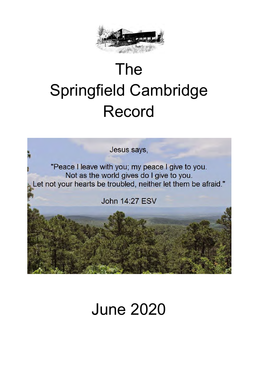

# The Springfield Cambridge Record

Jesus says,

"Peace I leave with you; my peace I give to you. Not as the world gives do I give to you. Let not your hearts be troubled, neither let them be afraid."

John 14:27 FSV

# June 2020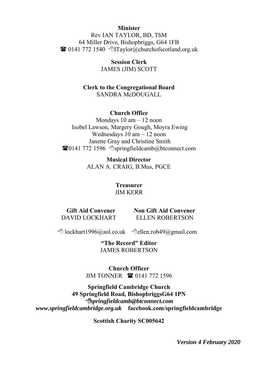#### **Minister**

Rev IAN TAYLOR, BD, ThM 64 Miller Drive, Bishopbriggs, G64 1FB  $\bullet$  0141 772 1540  $\bullet$  Taylor@churchofscotland.org.uk

> **Session Clerk**  JAMES (JIM) SCOTT

### **Clerk to the Congregational Board**  SANDRA McDOUGALL

#### **Church Office**

Mondays 10 am – 12 noon Isobel Lawson, Margery Gough, Moyra Ewing Wednesdays 10 am – 12 noon Janette Gray and Christine Smith  $\bullet$ 0141 772 1596  $\circ$ springfieldcamb@btconnect.com

> **Musical Director**  ALAN A. CRAIG, B.Mus, PGCE

#### **Treasurer**  JIM KERR

 **Gift Aid Convener**  DAVID LOCKHART

 **Non Gift Aid Convener** ELLEN ROBERTSON

 $\Theta$  lockhart1996@aol.co.uk  $\Theta$ ellen.rob49@gmail.com

**"The Record" Editor** JAMES ROBERTSON

**Church Officer** JIM TONNER **<b>8** 0141 772 1596

**Springfield Cambridge Church 49 Springfield Road, BishopbriggsG64 1PN** *springfieldcamb@btconnect.com www.springfieldcambridge.org.uk* **facebook.com/springfieldcambridge**

**Scottish Charity SC005642**

*Version 4 February 2020*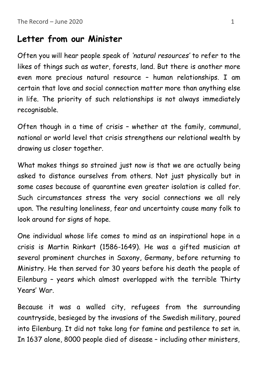# **Letter from our Minister**

Often you will hear people speak of *'natural resources'* to refer to the likes of things such as water, forests, land. But there is another more even more precious natural resource – human relationships. I am certain that love and social connection matter more than anything else in life. The priority of such relationships is not always immediately recognisable.

Often though in a time of crisis – whether at the family, communal, national or world level that crisis strengthens our relational wealth by drawing us closer together.

What makes things so strained just now is that we are actually being asked to distance ourselves from others. Not just physically but in some cases because of quarantine even greater isolation is called for. Such circumstances stress the very social connections we all rely upon. The resulting loneliness, fear and uncertainty cause many folk to look around for signs of hope.

One individual whose life comes to mind as an inspirational hope in a crisis is Martin Rinkart (1586-1649). He was a gifted musician at several prominent churches in Saxony, Germany, before returning to Ministry. He then served for 30 years before his death the people of Eilenburg – years which almost overlapped with the terrible Thirty Years' War.

Because it was a walled city, refugees from the surrounding countryside, besieged by the invasions of the Swedish military, poured into Eilenburg. It did not take long for famine and pestilence to set in. In 1637 alone, 8000 people died of disease – including other ministers,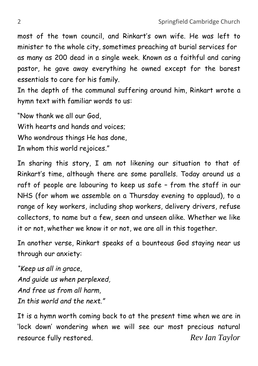most of the town council, and Rinkart's own wife. He was left to minister to the whole city, sometimes preaching at burial services for as many as 200 dead in a single week. Known as a faithful and caring pastor, he gave away everything he owned except for the barest essentials to care for his family.

In the depth of the communal suffering around him, Rinkart wrote a hymn text with familiar words to us:

"Now thank we all our God, With hearts and hands and voices; Who wondrous things He has done, In whom this world rejoices."

In sharing this story, I am not likening our situation to that of Rinkart's time, although there are some parallels. Today around us a raft of people are labouring to keep us safe – from the staff in our NHS (for whom we assemble on a Thursday evening to applaud), to a range of key workers, including shop workers, delivery drivers, refuse collectors, to name but a few, seen and unseen alike. Whether we like it or not, whether we know it or not, we are all in this together.

In another verse, Rinkart speaks of a bounteous God staying near us through our anxiety:

*"Keep us all in grace, And guide us when perplexed, And free us from all harm, In this world and the next."*

It is a hymn worth coming back to at the present time when we are in 'lock down' wondering when we will see our most precious natural resource fully restored. *Rev Ian Taylor*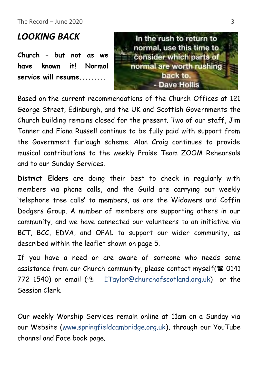The Record – June 2020 3

# *LOOKING BACK*

**Church – but not as we have known it! Normal service will resume.........**



Based on the current recommendations of the Church Offices at 121 George Street, Edinburgh, and the UK and Scottish Governments the Church building remains closed for the present. Two of our staff, Jim Tonner and Fiona Russell continue to be fully paid with support from the Government furlough scheme. Alan Craig continues to provide musical contributions to the weekly Praise Team ZOOM Rehearsals and to our Sunday Services.

**District Elders** are doing their best to check in regularly with members via phone calls, and the Guild are carrying out weekly 'telephone tree calls' to members, as are the Widowers and Coffin Dodgers Group. A number of members are supporting others in our community, and we have connected our volunteers to an initiative via BCT, BCC, EDVA, and OPAL to support our wider community, as described within the leaflet shown on page 5.

If you have a need or are aware of someone who needs some assistance from our Church community, please contact myself( $\mathbf{\mathcal{D}}$  0141 772 1540) or email  $\sqrt{2}$  ITaylor@churchofscotland.org.uk) or the Session Clerk.

Our weekly Worship Services remain online at 11am on a Sunday via our Website (www.springfieldcambridge.org.uk), through our YouTube channel and Face book page.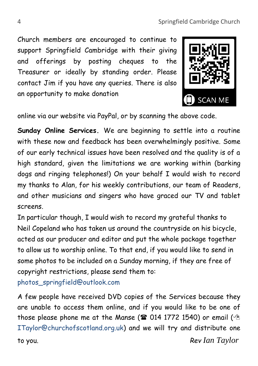Church members are encouraged to continue to support Springfield Cambridge with their giving and offerings by posting cheques to the Treasurer or ideally by standing order. Please contact Jim if you have any queries. There is also an opportunity to make donation



online via our website via PayPal, or by scanning the above code.

**Sunday Online Services.** We are beginning to settle into a routine with these now and feedback has been overwhelmingly positive. Some of our early technical issues have been resolved and the quality is of a high standard, given the limitations we are working within (barking dogs and ringing telephones!) On your behalf I would wish to record my thanks to Alan, for his weekly contributions, our team of Readers, and other musicians and singers who have graced our TV and tablet screens.

In particular though, I would wish to record my grateful thanks to Neil Copeland who has taken us around the countryside on his bicycle, acted as our producer and editor and put the whole package together to allow us to worship online. To that end, if you would like to send in some photos to be included on a Sunday morning, if they are free of copyright restrictions, please send them to:

photos\_springfield@outlook.com

A few people have received DVD copies of the Services because they are unable to access them online, and if you would like to be one of those please phone me at the Manse ( $\mathbf{\mathcal{F}}$  014 1772 1540) or email ( $\mathbf{\hat{\odot}}$ ITaylor@churchofscotland.org.uk) and we will try and distribute one to you. *Rev Ian Taylor*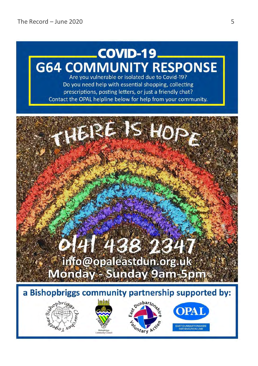# COVID-19. **G64 COMMUNITY RESPONSE**

Are you vulnerable or isolated due to Covid-19? Do you need help with essential shopping, collecting prescriptions, posting letters, or just a friendly chat? Contact the OPAL helpline below for help from your community.

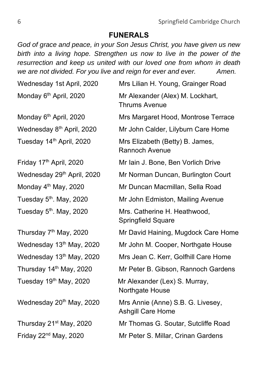### **FUNERALS**

*God of grace and peace, in your Son Jesus Christ, you have given us new birth into a living hope. Strengthen us now to live in the power of the resurrection and keep us united with our loved one from whom in death we are not divided. For you live and reign for ever and ever. Amen.*

| Wednesday 1st April, 2020              | Mrs Lilian H. Young, Grainger Road                       |  |  |
|----------------------------------------|----------------------------------------------------------|--|--|
| Monday 6 <sup>th</sup> April, 2020     | Mr Alexander (Alex) M. Lockhart,<br><b>Thrums Avenue</b> |  |  |
| Monday 6 <sup>th</sup> April, 2020     | Mrs Margaret Hood, Montrose Terrace                      |  |  |
| Wednesday 8 <sup>th</sup> April, 2020  | Mr John Calder, Lilyburn Care Home                       |  |  |
| Tuesday 14th April, 2020               | Mrs Elizabeth (Betty) B. James,<br>Rannoch Avenue        |  |  |
| Friday 17 <sup>th</sup> April, 2020    | Mr Iain J. Bone, Ben Vorlich Drive                       |  |  |
| Wednesday 29 <sup>th</sup> April, 2020 | Mr Norman Duncan, Burlington Court                       |  |  |
| Monday 4 <sup>th</sup> May, 2020       | Mr Duncan Macmillan, Sella Road                          |  |  |
| Tuesday 5 <sup>th</sup> . May, 2020    | Mr John Edmiston, Mailing Avenue                         |  |  |
| Tuesday 5 <sup>th</sup> . May, 2020    | Mrs. Catherine H. Heathwood,<br>Springfield Square       |  |  |
| Thursday 7 <sup>th</sup> May, 2020     | Mr David Haining, Mugdock Care Home                      |  |  |
| Wednesday 13th May, 2020               | Mr John M. Cooper, Northgate House                       |  |  |
| Wednesday 13th May, 2020               | Mrs Jean C. Kerr, Golfhill Care Home                     |  |  |
| Thursday 14 <sup>th</sup> May, 2020    | Mr Peter B. Gibson, Rannoch Gardens                      |  |  |
| Tuesday 19 <sup>th</sup> May, 2020     | Mr Alexander (Lex) S. Murray,<br>Northgate House         |  |  |
| Wednesday 20th May, 2020               | Mrs Annie (Anne) S.B. G. Livesey,<br>Ashgill Care Home   |  |  |
| Thursday 21 <sup>st</sup> May, 2020    | Mr Thomas G. Soutar, Sutcliffe Road                      |  |  |
| Friday 22 <sup>nd</sup> May, 2020      | Mr Peter S. Millar, Crinan Gardens                       |  |  |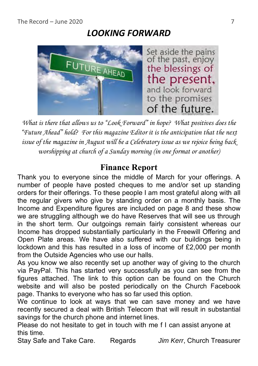# *LOOKING FORWARD*



*What is there that allows us to "Look Forward" in hope? What positives does the "Future Ahead" hold? For this magazine Editor it is the anticipation that the next issue of the magazine in August will be a Celebratory issue as we rejoice being back worshipping at church of a Sunday morning (in one format or another)*

# **Finance Report**

Thank you to everyone since the middle of March for your offerings. A number of people have posted cheques to me and/or set up standing orders for their offerings. To these people I am most grateful along with all the regular givers who give by standing order on a monthly basis. The Income and Expenditure figures are included on page 8 and these show we are struggling although we do have Reserves that will see us through in the short term. Our outgoings remain fairly consistent whereas our Income has dropped substantially particularly in the Freewill Offering and Open Plate areas. We have also suffered with our buildings being in lockdown and this has resulted in a loss of income of £2,000 per month from the Outside Agencies who use our halls.

As you know we also recently set up another way of giving to the church via PayPal. This has started very successfully as you can see from the figures attached. The link to this option can be found on the Church website and will also be posted periodically on the Church Facebook page. Thanks to everyone who has so far used this option.

We continue to look at ways that we can save money and we have recently secured a deal with British Telecom that will result in substantial savings for the church phone and internet lines.

Please do not hesitate to get in touch with me f I can assist anyone at this time.

Stay Safe and Take Care. Regards *Jim Kerr*, Church Treasurer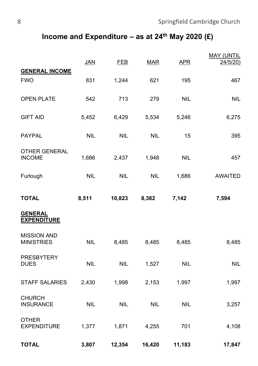## **Income and Expenditure – as at 24th May 2020 (£)**

|                                         | <b>JAN</b> | <b>FEB</b> | <b>MAR</b> | <b>APR</b> | <b>MAY (UNTIL</b><br>24/5/20) |
|-----------------------------------------|------------|------------|------------|------------|-------------------------------|
| <b>GENERAL INCOME</b><br><b>FWO</b>     | 831        | 1,244      | 621        | 195        | 467                           |
| OPEN PLATE                              | 542        | 713        | 279        | <b>NIL</b> | <b>NIL</b>                    |
| <b>GIFT AID</b>                         | 5,452      | 6,429      | 5,534      | 5,246      | 6,275                         |
| PAYPAL                                  | <b>NIL</b> | <b>NIL</b> | <b>NIL</b> | 15         | 395                           |
| OTHER GENERAL<br><b>INCOME</b>          | 1,686      | 2,437      | 1,948      | <b>NIL</b> | 457                           |
| Furlough                                | <b>NIL</b> | <b>NIL</b> | <b>NIL</b> | 1,686      | <b>AWAITED</b>                |
| <b>TOTAL</b>                            | 8,511      | 10,823     | 8,382      | 7,142      | 7,594                         |
| <b>GENERAL</b><br><b>EXPENDITURE</b>    |            |            |            |            |                               |
| <b>MISSION AND</b><br><b>MINISTRIES</b> | <b>NIL</b> | 8,485      | 8,485      | 8,485      | 8,485                         |
| <b>PRESBYTERY</b><br><b>DUES</b>        | <b>NIL</b> | <b>NIL</b> | 1,527      | <b>NIL</b> | <b>NIL</b>                    |
| <b>STAFF SALARIES</b>                   | 2,430      | 1,998      | 2,153      | 1,997      | 1,997                         |
| <b>CHURCH</b><br><b>INSURANCE</b>       | <b>NIL</b> | <b>NIL</b> | <b>NIL</b> | <b>NIL</b> | 3,257                         |
| <b>OTHER</b><br><b>EXPENDITURE</b>      | 1,377      | 1,871      | 4,255      | 701        | 4,108                         |
| <b>TOTAL</b>                            | 3,807      | 12,354     | 16,420     | 11,183     | 17,847                        |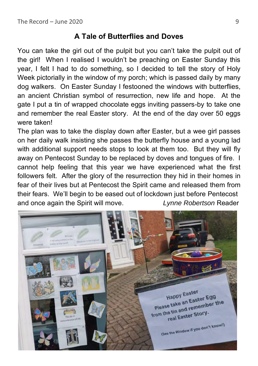## **A Tale of Butterflies and Doves**

You can take the girl out of the pulpit but you can't take the pulpit out of the girl! When I realised I wouldn't be preaching on Easter Sunday this year, I felt I had to do something, so I decided to tell the story of Holy Week pictorially in the window of my porch; which is passed daily by many dog walkers. On Easter Sunday I festooned the windows with butterflies, an ancient Christian symbol of resurrection, new life and hope. At the gate I put a tin of wrapped chocolate eggs inviting passers-by to take one and remember the real Easter story. At the end of the day over 50 eggs were taken!

The plan was to take the display down after Easter, but a wee girl passes on her daily walk insisting she passes the butterfly house and a young lad with additional support needs stops to look at them too. But they will fly away on Pentecost Sunday to be replaced by doves and tongues of fire. I cannot help feeling that this year we have experienced what the first followers felt. After the glory of the resurrection they hid in their homes in fear of their lives but at Pentecost the Spirit came and released them from their fears. We'll begin to be eased out of lockdown just before Pentecost and once again the Spirit will move. *Lynne Robertson* Reader

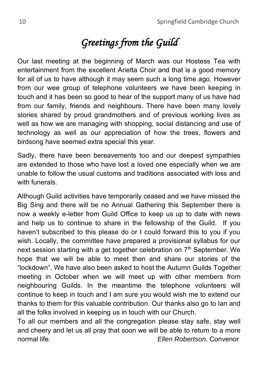# *Greetings from the Guild*

Our last meeting at the beginning of March was our Hostess Tea with entertainment from the excellent Arietta Choir and that is a good memory for all of us to have although it may seem such a long time ago. However from our wee group of telephone volunteers we have been keeping in touch and it has been so good to hear of the support many of us have had from our family, friends and neighbours. There have been many lovely stories shared by proud grandmothers and of previous working lives as well as how we are managing with shopping, social distancing and use of technology as well as our appreciation of how the trees, flowers and birdsong have seemed extra special this year.

Sadly, there have been bereavements too and our deepest sympathies are extended to those who have lost a loved one especially when we are unable to follow the usual customs and traditions associated with loss and with funerals.

Although Guild activities have temporarily ceased and we have missed the Big Sing and there will be no Annual Gathering this September there is now a weekly e-letter from Guild Office to keep us up to date with news and help us to continue to share in the fellowship of the Guild. If you haven't subscribed to this please do or I could forward this to you if you wish. Locally, the committee have prepared a provisional syllabus for our next session starting with a get together celebration on  $7<sup>th</sup>$  September. We hope that we will be able to meet then and share our stories of the "lockdown". We have also been asked to host the Autumn Guilds Together meeting in October when we will meet up with other members from neighbouring Guilds. In the meantime the telephone volunteers will continue to keep in touch and I am sure you would wish me to extend our thanks to them for this valuable contribution. Our thanks also go to Ian and all the folks involved in keeping us in touch with our Church.

To all our members and all the congregation please stay safe, stay well and cheery and let us all pray that soon we will be able to return to a more normal life. *Ellen Robertson,* Convenor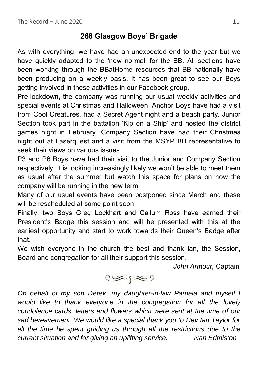## **268 Glasgow Boys' Brigade**

As with everything, we have had an unexpected end to the year but we have quickly adapted to the 'new normal' for the BB. All sections have been working through the BBatHome resources that BB nationally have been producing on a weekly basis. It has been great to see our Boys getting involved in these activities in our Facebook group.

Pre-lockdown, the company was running our usual weekly activities and special events at Christmas and Halloween. Anchor Boys have had a visit from Cool Creatures, had a Secret Agent night and a beach party. Junior Section took part in the battalion 'Kip on a Ship' and hosted the district games night in February. Company Section have had their Christmas night out at Laserquest and a visit from the MSYP BB representative to seek their views on various issues.

P3 and P6 Boys have had their visit to the Junior and Company Section respectively. It is looking increasingly likely we won't be able to meet them as usual after the summer but watch this space for plans on how the company will be running in the new term.

Many of our usual events have been postponed since March and these will be rescheduled at some point soon.

Finally, two Boys Greg Lockhart and Callum Ross have earned their President's Badge this session and will be presented with this at the earliest opportunity and start to work towards their Queen's Badge after that.

We wish everyone in the church the best and thank Ian, the Session, Board and congregation for all their support this session.

*John Armour,* Captain



*On behalf of my son Derek, my daughter-in-law Pamela and myself I would like to thank everyone in the congregation for all the lovely condolence cards, letters and flowers which were sent at the time of our sad bereavement. We would like a special thank you to Rev Ian Taylor for all the time he spent guiding us through all the restrictions due to the current situation and for giving an uplifting service. Nan Edmiston*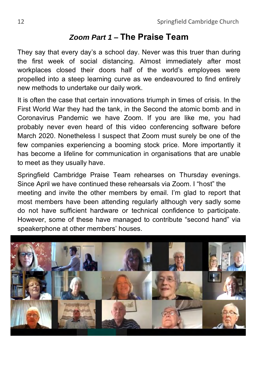# *Zoom Part 1* **– The Praise Team**

They say that every day's a school day. Never was this truer than during the first week of social distancing. Almost immediately after most workplaces closed their doors half of the world's employees were propelled into a steep learning curve as we endeavoured to find entirely new methods to undertake our daily work.

It is often the case that certain innovations triumph in times of crisis. In the First World War they had the tank, in the Second the atomic bomb and in Coronavirus Pandemic we have Zoom. If you are like me, you had probably never even heard of this video conferencing software before March 2020. Nonetheless I suspect that Zoom must surely be one of the few companies experiencing a booming stock price. More importantly it has become a lifeline for communication in organisations that are unable to meet as they usually have.

Springfield Cambridge Praise Team rehearses on Thursday evenings. Since April we have continued these rehearsals via Zoom. I "host" the meeting and invite the other members by email. I'm glad to report that most members have been attending regularly although very sadly some do not have sufficient hardware or technical confidence to participate. However, some of these have managed to contribute "second hand" via speakerphone at other members' houses.

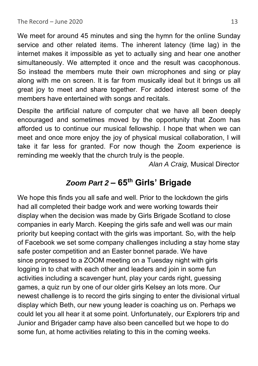We meet for around 45 minutes and sing the hymn for the online Sunday service and other related items. The inherent latency (time lag) in the internet makes it impossible as yet to actually sing and hear one another simultaneously. We attempted it once and the result was cacophonous. So instead the members mute their own microphones and sing or play along with me on screen. It is far from musically ideal but it brings us all great joy to meet and share together. For added interest some of the members have entertained with songs and recitals.

Despite the artificial nature of computer chat we have all been deeply encouraged and sometimes moved by the opportunity that Zoom has afforded us to continue our musical fellowship. I hope that when we can meet and once more enjoy the joy of physical musical collaboration, I will take it far less for granted. For now though the Zoom experience is reminding me weekly that the church truly is the people.

*Alan A Craig,* Musical Director

## *Zoom Part 2* **– 65th Girls' Brigade**

We hope this finds you all safe and well. Prior to the lockdown the girls had all completed their badge work and were working towards their display when the decision was made by Girls Brigade Scotland to close companies in early March. Keeping the girls safe and well was our main priority but keeping contact with the girls was important. So, with the help of Facebook we set some company challenges including a stay home stay safe poster competition and an Easter bonnet parade. We have since progressed to a ZOOM meeting on a Tuesday night with girls logging in to chat with each other and leaders and join in some fun activities including a scavenger hunt, play your cards right, guessing games, a quiz run by one of our older girls Kelsey an lots more. Our newest challenge is to record the girls singing to enter the divisional virtual display which Beth, our new young leader is coaching us on. Perhaps we could let you all hear it at some point. Unfortunately, our Explorers trip and Junior and Brigader camp have also been cancelled but we hope to do some fun, at home activities relating to this in the coming weeks.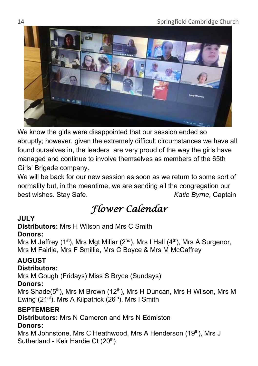

We know the girls were disappointed that our session ended so abruptly; however, given the extremely difficult circumstances we have all found ourselves in, the leaders are very proud of the way the girls have managed and continue to involve themselves as members of the 65th Girls' Brigade company.

We will be back for our new session as soon as we return to some sort of normality but, in the meantime, we are sending all the congregation our best wishes. Stay Safe. *Katie Byrne,* Captain

# *Flower Calendar*

### **JULY**

### **Distributors:** Mrs H Wilson and Mrs C Smith **Donors:**

Mrs M Jeffrey (1<sup>st</sup>), Mrs Mgt Millar (2<sup>nd</sup>), Mrs I Hall (4<sup>th</sup>), Mrs A Surgenor, Mrs M Fairlie, Mrs F Smillie, Mrs C Boyce & Mrs M McCaffrey

### **AUGUST**

### **Distributors:**

Mrs M Gough (Fridays) Miss S Bryce (Sundays)

### **Donors:**

Mrs Shade(5<sup>th</sup>), Mrs M Brown (12<sup>th</sup>), Mrs H Duncan, Mrs H Wilson, Mrs M Ewing (21<sup>st</sup>), Mrs A Kilpatrick (26<sup>th</sup>), Mrs I Smith

### **SEPTEMBER**

**Distributors:** Mrs N Cameron and Mrs N Edmiston

### **Donors:**

Mrs M Johnstone, Mrs C Heathwood, Mrs A Henderson (19<sup>th</sup>), Mrs J Sutherland - Keir Hardie Ct (20<sup>th</sup>)